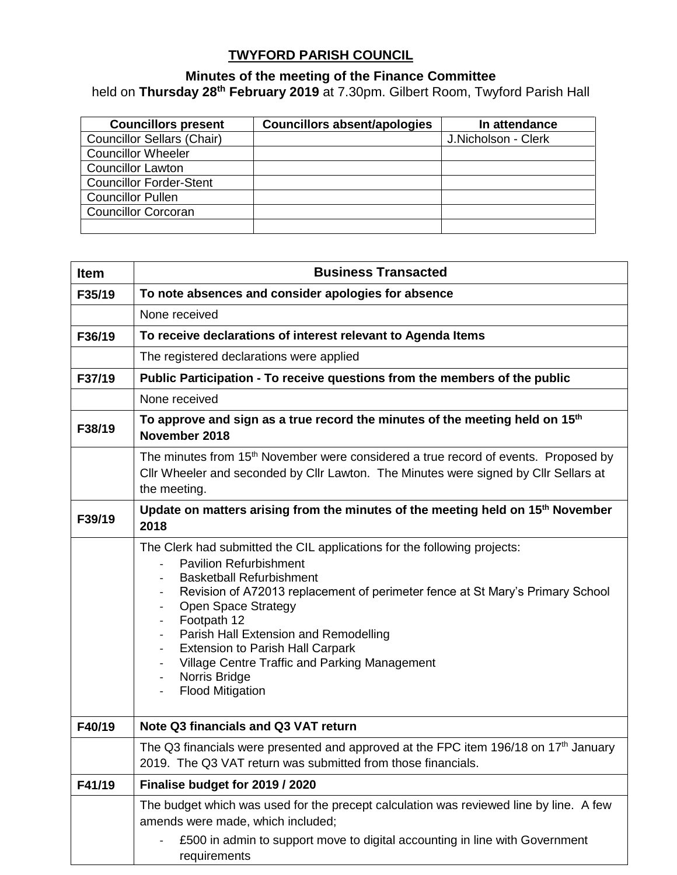## **TWYFORD PARISH COUNCIL**

## **Minutes of the meeting of the Finance Committee**

held on **Thursday 28th February 2019** at 7.30pm. Gilbert Room, Twyford Parish Hall

| <b>Councillors present</b>        | <b>Councillors absent/apologies</b> | In attendance       |
|-----------------------------------|-------------------------------------|---------------------|
| <b>Councillor Sellars (Chair)</b> |                                     | J.Nicholson - Clerk |
| <b>Councillor Wheeler</b>         |                                     |                     |
| <b>Councillor Lawton</b>          |                                     |                     |
| <b>Councillor Forder-Stent</b>    |                                     |                     |
| <b>Councillor Pullen</b>          |                                     |                     |
| <b>Councillor Corcoran</b>        |                                     |                     |
|                                   |                                     |                     |

| <b>Item</b> | <b>Business Transacted</b>                                                                                                                                                                                                                                                                                                                                                                                                                                                              |  |  |  |  |
|-------------|-----------------------------------------------------------------------------------------------------------------------------------------------------------------------------------------------------------------------------------------------------------------------------------------------------------------------------------------------------------------------------------------------------------------------------------------------------------------------------------------|--|--|--|--|
| F35/19      | To note absences and consider apologies for absence                                                                                                                                                                                                                                                                                                                                                                                                                                     |  |  |  |  |
|             | None received                                                                                                                                                                                                                                                                                                                                                                                                                                                                           |  |  |  |  |
| F36/19      | To receive declarations of interest relevant to Agenda Items                                                                                                                                                                                                                                                                                                                                                                                                                            |  |  |  |  |
|             | The registered declarations were applied                                                                                                                                                                                                                                                                                                                                                                                                                                                |  |  |  |  |
| F37/19      | Public Participation - To receive questions from the members of the public                                                                                                                                                                                                                                                                                                                                                                                                              |  |  |  |  |
|             | None received                                                                                                                                                                                                                                                                                                                                                                                                                                                                           |  |  |  |  |
| F38/19      | To approve and sign as a true record the minutes of the meeting held on 15 <sup>th</sup><br>November 2018                                                                                                                                                                                                                                                                                                                                                                               |  |  |  |  |
|             | The minutes from 15 <sup>th</sup> November were considered a true record of events. Proposed by<br>Cllr Wheeler and seconded by Cllr Lawton. The Minutes were signed by Cllr Sellars at<br>the meeting.                                                                                                                                                                                                                                                                                 |  |  |  |  |
| F39/19      | Update on matters arising from the minutes of the meeting held on 15 <sup>th</sup> November<br>2018                                                                                                                                                                                                                                                                                                                                                                                     |  |  |  |  |
|             | The Clerk had submitted the CIL applications for the following projects:<br><b>Pavilion Refurbishment</b><br><b>Basketball Refurbishment</b><br>Revision of A72013 replacement of perimeter fence at St Mary's Primary School<br><b>Open Space Strategy</b><br>Footpath 12<br>Parish Hall Extension and Remodelling<br><b>Extension to Parish Hall Carpark</b><br>$\overline{\phantom{a}}$<br>Village Centre Traffic and Parking Management<br>Norris Bridge<br><b>Flood Mitigation</b> |  |  |  |  |
| F40/19      | Note Q3 financials and Q3 VAT return                                                                                                                                                                                                                                                                                                                                                                                                                                                    |  |  |  |  |
|             | The Q3 financials were presented and approved at the FPC item 196/18 on 17 <sup>th</sup> January<br>2019. The Q3 VAT return was submitted from those financials.                                                                                                                                                                                                                                                                                                                        |  |  |  |  |
| F41/19      | Finalise budget for 2019 / 2020                                                                                                                                                                                                                                                                                                                                                                                                                                                         |  |  |  |  |
|             | The budget which was used for the precept calculation was reviewed line by line. A few<br>amends were made, which included;<br>£500 in admin to support move to digital accounting in line with Government<br>requirements                                                                                                                                                                                                                                                              |  |  |  |  |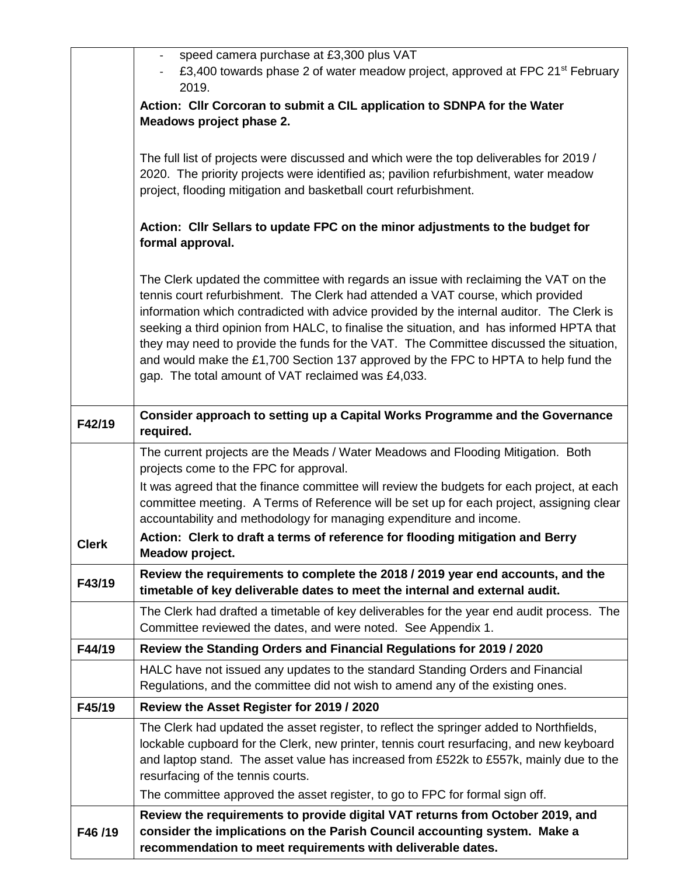|              | speed camera purchase at £3,300 plus VAT<br>£3,400 towards phase 2 of water meadow project, approved at FPC 21 <sup>st</sup> February                                                                                                                                                                                                                                                                                                                                                                                                                                                                  |  |  |  |
|--------------|--------------------------------------------------------------------------------------------------------------------------------------------------------------------------------------------------------------------------------------------------------------------------------------------------------------------------------------------------------------------------------------------------------------------------------------------------------------------------------------------------------------------------------------------------------------------------------------------------------|--|--|--|
|              | 2019.                                                                                                                                                                                                                                                                                                                                                                                                                                                                                                                                                                                                  |  |  |  |
|              | Action: Cllr Corcoran to submit a CIL application to SDNPA for the Water                                                                                                                                                                                                                                                                                                                                                                                                                                                                                                                               |  |  |  |
|              | Meadows project phase 2.                                                                                                                                                                                                                                                                                                                                                                                                                                                                                                                                                                               |  |  |  |
|              | The full list of projects were discussed and which were the top deliverables for 2019 /<br>2020. The priority projects were identified as; pavilion refurbishment, water meadow<br>project, flooding mitigation and basketball court refurbishment.                                                                                                                                                                                                                                                                                                                                                    |  |  |  |
|              | Action: Cllr Sellars to update FPC on the minor adjustments to the budget for<br>formal approval.                                                                                                                                                                                                                                                                                                                                                                                                                                                                                                      |  |  |  |
|              | The Clerk updated the committee with regards an issue with reclaiming the VAT on the<br>tennis court refurbishment. The Clerk had attended a VAT course, which provided<br>information which contradicted with advice provided by the internal auditor. The Clerk is<br>seeking a third opinion from HALC, to finalise the situation, and has informed HPTA that<br>they may need to provide the funds for the VAT. The Committee discussed the situation,<br>and would make the £1,700 Section 137 approved by the FPC to HPTA to help fund the<br>gap. The total amount of VAT reclaimed was £4,033. |  |  |  |
| F42/19       | Consider approach to setting up a Capital Works Programme and the Governance<br>required.                                                                                                                                                                                                                                                                                                                                                                                                                                                                                                              |  |  |  |
|              | The current projects are the Meads / Water Meadows and Flooding Mitigation. Both<br>projects come to the FPC for approval.                                                                                                                                                                                                                                                                                                                                                                                                                                                                             |  |  |  |
|              | It was agreed that the finance committee will review the budgets for each project, at each<br>committee meeting. A Terms of Reference will be set up for each project, assigning clear<br>accountability and methodology for managing expenditure and income.                                                                                                                                                                                                                                                                                                                                          |  |  |  |
| <b>Clerk</b> | Action: Clerk to draft a terms of reference for flooding mitigation and Berry<br>Meadow project.                                                                                                                                                                                                                                                                                                                                                                                                                                                                                                       |  |  |  |
| F43/19       | Review the requirements to complete the 2018 / 2019 year end accounts, and the<br>timetable of key deliverable dates to meet the internal and external audit.                                                                                                                                                                                                                                                                                                                                                                                                                                          |  |  |  |
|              | The Clerk had drafted a timetable of key deliverables for the year end audit process. The<br>Committee reviewed the dates, and were noted. See Appendix 1.                                                                                                                                                                                                                                                                                                                                                                                                                                             |  |  |  |
| F44/19       | Review the Standing Orders and Financial Regulations for 2019 / 2020                                                                                                                                                                                                                                                                                                                                                                                                                                                                                                                                   |  |  |  |
|              | HALC have not issued any updates to the standard Standing Orders and Financial<br>Regulations, and the committee did not wish to amend any of the existing ones.                                                                                                                                                                                                                                                                                                                                                                                                                                       |  |  |  |
| F45/19       | Review the Asset Register for 2019 / 2020                                                                                                                                                                                                                                                                                                                                                                                                                                                                                                                                                              |  |  |  |
|              | The Clerk had updated the asset register, to reflect the springer added to Northfields,<br>lockable cupboard for the Clerk, new printer, tennis court resurfacing, and new keyboard<br>and laptop stand. The asset value has increased from £522k to £557k, mainly due to the<br>resurfacing of the tennis courts.                                                                                                                                                                                                                                                                                     |  |  |  |
|              | The committee approved the asset register, to go to FPC for formal sign off.                                                                                                                                                                                                                                                                                                                                                                                                                                                                                                                           |  |  |  |
| F46/19       | Review the requirements to provide digital VAT returns from October 2019, and<br>consider the implications on the Parish Council accounting system. Make a<br>recommendation to meet requirements with deliverable dates.                                                                                                                                                                                                                                                                                                                                                                              |  |  |  |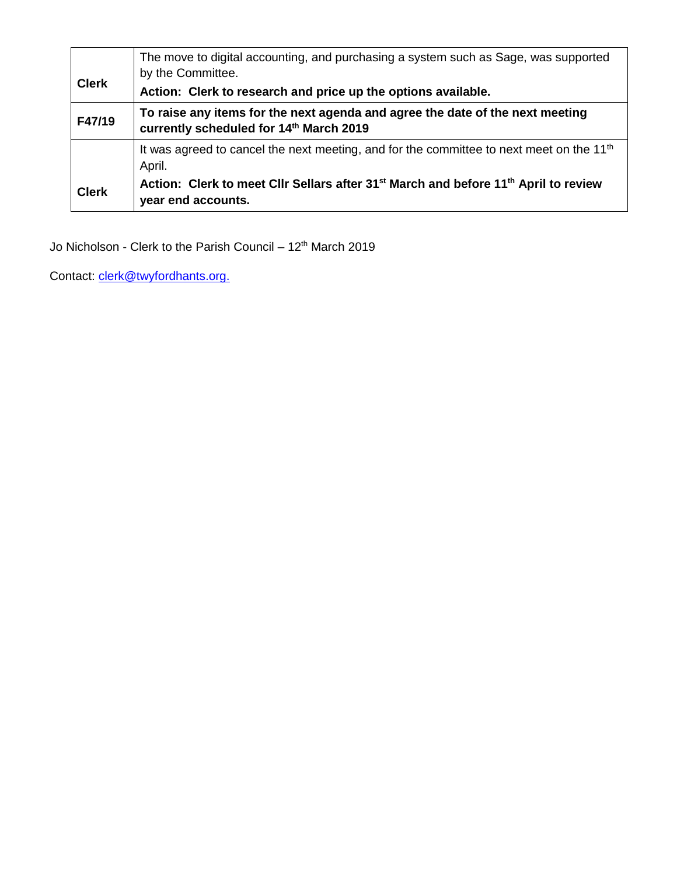| <b>Clerk</b> | The move to digital accounting, and purchasing a system such as Sage, was supported<br>by the Committee.<br>Action: Clerk to research and price up the options available.                                                     |
|--------------|-------------------------------------------------------------------------------------------------------------------------------------------------------------------------------------------------------------------------------|
| F47/19       | To raise any items for the next agenda and agree the date of the next meeting<br>currently scheduled for 14th March 2019                                                                                                      |
| <b>Clerk</b> | It was agreed to cancel the next meeting, and for the committee to next meet on the 11 <sup>th</sup><br>April.<br>Action: Clerk to meet Cllr Sellars after 31 <sup>st</sup> March and before 11 <sup>th</sup> April to review |
|              | year end accounts.                                                                                                                                                                                                            |

Jo Nicholson - Clerk to the Parish Council – 12<sup>th</sup> March 2019

Contact: [clerk@twyf](mailto:clerk@twy)ordhants.org.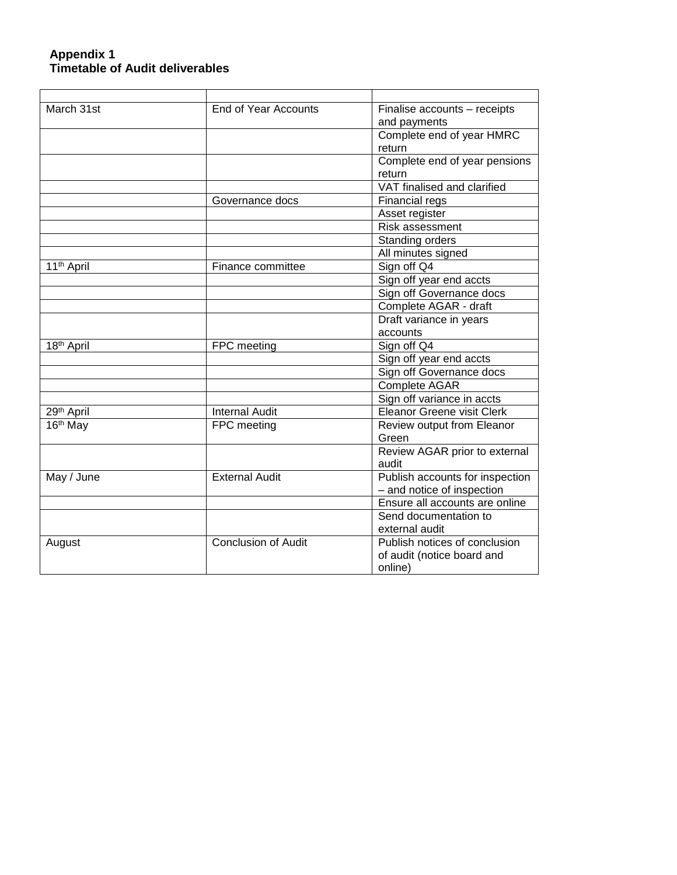## **Appendix 1 Timetable of Audit deliverables**

| March 31st             | End of Year Accounts       | Finalise accounts - receipts    |
|------------------------|----------------------------|---------------------------------|
|                        |                            | and payments                    |
|                        |                            | Complete end of year HMRC       |
|                        |                            | return                          |
|                        |                            | Complete end of year pensions   |
|                        |                            | return                          |
|                        |                            | VAT finalised and clarified     |
|                        | Governance docs            | Financial regs                  |
|                        |                            | Asset register                  |
|                        |                            | Risk assessment                 |
|                        |                            | Standing orders                 |
|                        |                            | All minutes signed              |
| 11 <sup>th</sup> April | Finance committee          | Sign off Q4                     |
|                        |                            | Sign off year end accts         |
|                        |                            | Sign off Governance docs        |
|                        |                            | Complete AGAR - draft           |
|                        |                            | Draft variance in years         |
|                        |                            | accounts                        |
| 18 <sup>th</sup> April | FPC meeting                | Sign off Q4                     |
|                        |                            | Sign off year end accts         |
|                        |                            | Sign off Governance docs        |
|                        |                            | Complete AGAR                   |
|                        |                            | Sign off variance in accts      |
| 29 <sup>th</sup> April | <b>Internal Audit</b>      | Eleanor Greene visit Clerk      |
| 16th May               | FPC meeting                | Review output from Eleanor      |
|                        |                            | Green                           |
|                        |                            | Review AGAR prior to external   |
|                        |                            | audit                           |
| May / June             | <b>External Audit</b>      | Publish accounts for inspection |
|                        |                            | - and notice of inspection      |
|                        |                            | Ensure all accounts are online  |
|                        |                            | Send documentation to           |
|                        |                            | external audit                  |
| August                 | <b>Conclusion of Audit</b> | Publish notices of conclusion   |
|                        |                            | of audit (notice board and      |
|                        |                            | online)                         |